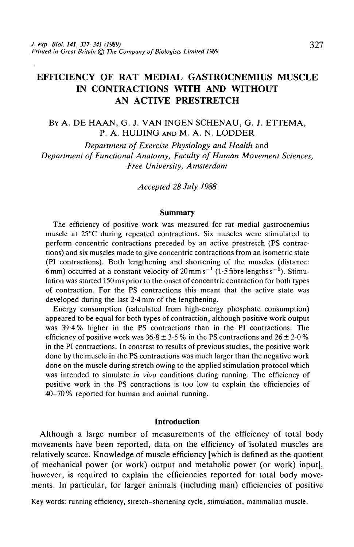# EFFICIENCY OF RAT MEDIAL GASTROCNEMIUS MUSCLE IN CONTRACTIONS WITH AND WITHOUT AN ACTIVE PRESTRETCH

BY A. DE HAAN, G. J. VAN INGEN SCHENAU, G. J. ETTEMA, P. A. HUIJING AND M. A. N. LODDER

*Department of Exercise Physiology and Health* and *Department of Functional Anatomy, Faculty of Human Movement Sciences, Free University, Amsterdam*

*Accepted 28 July 1988*

#### **Summary**

The efficiency of positive work was measured for rat medial gastrocnemius muscle at 25°C during repeated contractions. Six muscles were stimulated to perform concentric contractions preceded by an active prestretch (PS contractions) and six muscles made to give concentric contractions from an isometric state (PI contractions). Both lengthening and shortening of the muscles (distance: 6 mm) occurred at a constant velocity of 20 mm s<sup>-1</sup> (1.5 fibre lengths s<sup>-1</sup>). Stimulation was started 150 ms prior to the onset of concentric contraction for both types of contraction. For the PS contractions this meant that the active state was developed during the last 2-4 mm of the lengthening.

Energy consumption (calculated from high-energy phosphate consumption) appeared to be equal for both types of contraction, although positive work output was 39-4% higher in the PS contractions than in the PI contractions. The efficiency of positive work was  $36.8 \pm 3.5$ % in the PS contractions and  $26 \pm 2.0$ % in the PI contractions. In contrast to results of previous studies, the positive work done by the muscle in the PS contractions was much larger than the negative work done on the muscle during stretch owing to the applied stimulation protocol which was intended to simulate *in vivo* conditions during running. The efficiency of positive work in the PS contractions is too low to explain the efficiencies of 40-70 % reported for human and animal running.

#### **Introduction**

Although a large number of measurements of the efficiency of total body movements have been reported, data on the efficiency of isolated muscles are relatively scarce. Knowledge of muscle efficiency [which is defined as the quotient of mechanical power (or work) output and metabolic power (or work) input], however, is required to explain the efficiencies reported for total body movements. In particular, for larger animals (including man) efficiencies of positive

Key words: running efficiency, stretch-shortening cycle, stimulation, mammalian muscle.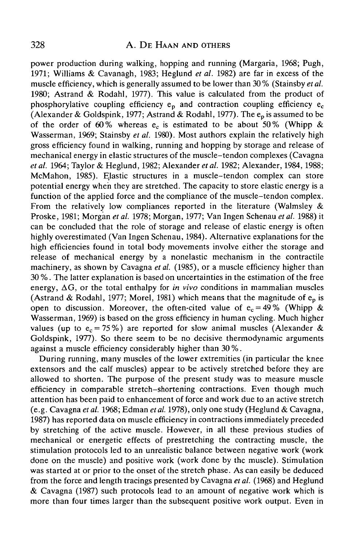## 328 A. DE HAAN AND OTHERS

power production during walking, hopping and running (Margaria, 1968; Pugh, 1971; Williams & Cavanagh, 1983; Heglund *et al.* 1982) are far in excess of the muscle efficiency, which is generally assumed to be lower than 30 % (Stainsby *et al.* 1980; Astrand & Rodahl, 1977). This value is calculated from the product of phosphorylative coupling efficiency  $e_p$  and contraction coupling efficiency  $e_c$ (Alexander & Goldspink, 1977; Astrand & Rodahl, 1977). The  $e_p$  is assumed to be of the order of 60% whereas e<sub>c</sub> is estimated to be about 50% (Whipp & Wasserman, 1969; Stainsby *et al.* 1980). Most authors explain the relatively high gross efficiency found in walking, running and hopping by storage and release of mechanical energy in elastic structures of the muscle-tendon complexes (Cavagna *et al.* 1964; Taylor & Heglund, 1982; Alexander *et al.* 1982; Alexander, 1984,1988; McMahon, 1985). Elastic structures in a muscle-tendon complex can store potential energy when they are stretched. The capacity to store elastic energy is a function of the applied force and the compliance of the muscle-tendon complex. From the relatively low compliances reported in the literature (Walmsley  $\&$ Proske, 1981; Morgan *etal.* 1978; Morgan, 1977; Van Ingen Schenau *etal.* 1988) it can be concluded that the role of storage and release of elastic energy is often highly overestimated (Van Ingen Schenau, 1984). Alternative explanations for the high efficiencies found in total body movements involve either the storage and release of mechanical energy by a nonelastic mechanism in the contractile machinery, as shown by Cavagna et al. (1985), or a muscle efficiency higher than 30 %. The latter explanation is based on uncertainties in the estimation of the free energy,  $\Delta G$ , or the total enthalpy for *in vivo* conditions in mammalian muscles (Astrand & Rodahl, 1977; Morel, 1981) which means that the magnitude of  $e_p$  is open to discussion. Moreover, the often-cited value of  $e_c = 49\%$  (Whipp & Wasserman, 1969) is based on the gross efficiency in human cycling. Much higher values (up to  $e_c = 75\%$ ) are reported for slow animal muscles (Alexander & Goldspink, 1977). So there seem to be no decisive thermodynamic arguments against a muscle efficiency considerably higher than 30 %.

During running, many muscles of the lower extremities (in particular the knee extensors and the calf muscles) appear to be actively stretched before they are allowed to shorten. The purpose of the present study was to measure muscle efficiency in comparable stretch-shortening contractions. Even though much attention has been paid to enhancement of force and work due to an active stretch (e.g. Cavagna *etal.* 1968; Edman *etal.* 1978), only one study (Heglund & Cavagna, 1987) has reported data on muscle efficiency in contractions immediately preceded by stretching of the active muscle. However, in all these previous studies of mechanical or energetic effects of prestretching the contracting muscle, the stimulation protocols led to an unrealistic balance between negative work (work done on the muscle) and positive work (work done by the muscle). Stimulation was started at or prior to the onset of the stretch phase. As can easily be deduced from the force and length tracings presented by Cavagna *etal.* (1968) and Heglund & Cavagna (1987) such protocols lead to an amount of negative work which is more than four times larger than the subsequent positive work output. Even in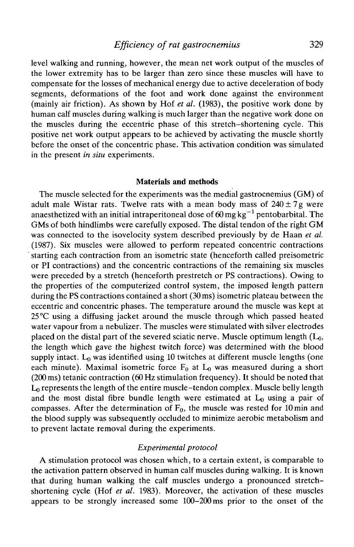# *Efficiency of rat gastrocnemius* 329

level walking and running, however, the mean net work output of the muscles of the lower extremity has to be larger than zero since these muscles will have to compensate for the losses of mechanical energy due to active deceleration of body segments, deformations of the foot and work done against the environment (mainly air friction). As shown by Hof *et al.* (1983), the positive work done by human calf muscles during walking is much larger than the negative work done on the muscles during the eccentric phase of this stretch-shortening cycle. This positive net work output appears to be achieved by activating the muscle shortly before the onset of the concentric phase. This activation condition was simulated in the present *in situ* experiments.

### **Materials and methods**

The muscle selected for the experiments was the medial gastrocnemius (GM) of adult male Wistar rats. Twelve rats with a mean body mass of  $240 \pm 7$  g were anaesthetized with an initial intraperitoneal dose of 60 mg kg $^{-1}$  pentobarbital. The GMs of both hindlimbs were carefully exposed. The distal tendon of the right GM was connected to the isovelocity system described previously by de Haan *et al.* (1987). Six muscles were allowed to perform repeated concentric contractions starting each contraction from an isometric state (henceforth called preisometric or PI contractions) and the concentric contractions of the remaining six muscles were preceded by a stretch (henceforth prestretch or PS contractions). Owing to the properties of the computerized control system, the imposed length pattern during the PS contractions contained a short (30 ms) isometric plateau between the eccentric and concentric phases. The temperature around the muscle was kept at  $25^{\circ}$ C using a diffusing jacket around the muscle through which passed heated water vapour from a nebulizer. The muscles were stimulated with silver electrodes placed on the distal part of the severed sciatic nerve. Muscle optimum length  $(L_0,$ the length which gave the highest twitch force) was determined with the blood supply intact.  $L_0$  was identified using 10 twitches at different muscle lengths (one each minute). Maximal isometric force  $F_0$  at  $L_0$  was measured during a short (200ms) tetanic contraction (60Hz stimulation frequency). It should be noted that  $L_0$  represents the length of the entire muscle-tendon complex. Muscle belly length and the most distal fibre bundle length were estimated at  $L_0$  using a pair of compasses. After the determination of  $F_0$ , the muscle was rested for 10 min and the blood supply was subsequently occluded to minimize aerobic metabolism and to prevent lactate removal during the experiments.

### *Experimental protocol*

A stimulation protocol was chosen which, to a certain extent, is comparable to the activation pattern observed in human calf muscles during walking. It is known that during human walking the calf muscles undergo a pronounced stretchshortening cycle (Hof *et al.* 1983). Moreover, the activation of these muscles appears to be strongly increased some 100-200 ms prior to the onset of the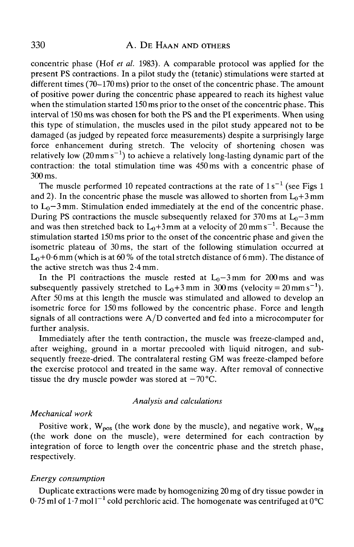concentric phase (Hof *et al.* 1983). A comparable protocol was applied for the present PS contractions. In a pilot study the (tetanic) stimulations were started at different times (70–170 ms) prior to the onset of the concentric phase. The amount of positive power during the concentric phase appeared to reach its highest value when the stimulation started 150 ms prior to the onset of the concentric phase. This interval of 150 ms was chosen for both the PS and the PI experiments. When using this type of stimulation, the muscles used in the pilot study appeared not to be damaged (as judged by repeated force measurements) despite a surprisingly large force enhancement during stretch. The velocity of shortening chosen was relatively low (20 mm s<sup>-1</sup>) to achieve a relatively long-lasting dynamic part of the contraction: the total stimulation time was 450ms with a concentric phase of 300 ms.

The muscle performed 10 repeated contractions at the rate of  $1s^{-1}$  (see Figs 1 and 2). In the concentric phase the muscle was allowed to shorten from  $L_0+3$  mm to  $L_0$ –3 mm. Stimulation ended immediately at the end of the concentric phase. During PS contractions the muscle subsequently relaxed for 370 ms at  $L_0$ –3 mm and was then stretched back to  ${\rm L}_0+3\,$ mm at a velocity of 20 mm s $^{-1}$ . Because the stimulation started 150 ms prior to the onset of the concentric phase and given the isometric plateau of 30 ms, the start of the following stimulation occurred at  $L_0+0.6$  mm (which is at 60 % of the total stretch distance of 6 mm). The distance of the active stretch was thus 2-4mm.

In the PI contractions the muscle rested at  $L_0-3$  mm for 200 ms and was subsequently passively stretched to  $L_0+3$  mm in 300 ms (velocity = 20 mm s<sup>-1</sup>). After 50 ms at this length the muscle was stimulated and allowed to develop an isometric force for 150 ms followed by the concentric phase. Force and length signals of all contractions were  $A/D$  converted and fed into a microcomputer for further analysis.

Immediately after the tenth contraction, the muscle was freeze-clamped and, after weighing, ground in a mortar precooled with liquid nitrogen, and subsequently freeze-dried. The contralateral resting GM was freeze-clamped before the exercise protocol and treated in the same way. After removal of connective tissue the dry muscle powder was stored at  $-70^{\circ}$ C.

#### *Analysis and calculations*

### *Mechanical work*

Positive work,  $W_{pos}$  (the work done by the muscle), and negative work,  $W_{neg}$ (the work done on the muscle), were determined for each contraction by integration of force to length over the concentric phase and the stretch phase, respectively.

### *Energy consumption*

Duplicate extractions were made by homogenizing 20 mg of dry tissue powder in 0.75 ml of 1.7 mol l $^{-1}$  cold perchloric acid. The homogenate was centrifuged at 0°C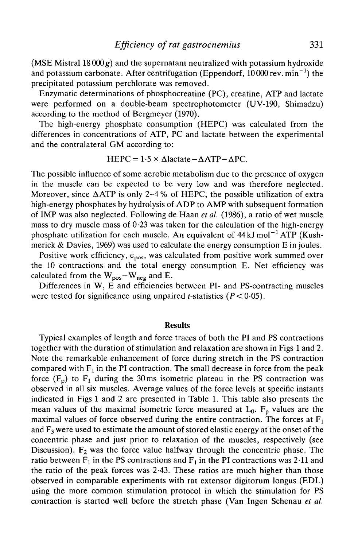(MSE Mistral  $18000 g$ ) and the supernatant neutralized with potassium hydroxide and potassium carbonate. After centrifugation (Eppendorf,  $10\,000$  rev. min $^{-1}$ ) the precipitated potassium perchlorate was removed.

Enzymatic determinations of phosphocreatine (PC), creatine, ATP and lactate were performed on a double-beam spectrophotometer (UV-190, Shimadzu) according to the method of Bergmeyer (1970).

The high-energy phosphate consumption (HEPC) was calculated from the differences in concentrations of ATP, PC and lactate between the experimental and the contralateral GM according to:

$$
HEPC = 1.5 \times \Delta lactate - \Delta ATP - \Delta PC.
$$

The possible influence of some aerobic metabolism due to the presence of oxygen in the muscle can be expected to be very low and was therefore neglected. Moreover, since  $\triangle ATP$  is only 2–4% of HEPC, the possible utilization of extra high-energy phosphates by hydrolysis of ADP to AMP with subsequent formation of IMP was also neglected. Following de Haan *et al.* (1986), a ratio of wet muscle mass to dry muscle mass of  $0.23$  was taken for the calculation of the high-energy phosphate utilization for each muscle. An equivalent of  $44 \text{ kJ} \text{ mol}^{-1} \text{ATP}$  (Kushmerick & Davies, 1969) was used to calculate the energy consumption E in joules.

Positive work efficiency,  $e_{pos}$ , was calculated from positive work summed over the 10 contractions and the total energy consumption E. Net efficiency was calculated from the  $W_{pos} - W_{neg}$  and E.

Differences in W, E and efficiencies between PI- and PS-contracting muscles were tested for significance using unpaired *t*-statistics  $(P < 0.05)$ .

### Results

Typical examples of length and force traces of both the PI and PS contractions together with the duration of stimulation and relaxation are shown in Figs 1 and 2. Note the remarkable enhancement of force during stretch in the PS contraction compared with  $F_1$  in the PI contraction. The small decrease in force from the peak force  $(F_p)$  to  $F_1$  during the 30 ms isometric plateau in the PS contraction was observed in all six muscles. Average values of the force levels at specific instants indicated in Figs 1 and 2 are presented in Table 1. This table also presents the mean values of the maximal isometric force measured at  $L_0$ .  $F_p$  values are the maximal values of force observed during the entire contraction. The forces at  $F_1$ and  $F_3$  were used to estimate the amount of stored elastic energy at the onset of the concentric phase and just prior to relaxation of the muscles, respectively (see Discussion).  $F_2$  was the force value halfway through the concentric phase. The ratio between  $F_1$  in the PS contractions and  $F_1$  in the PI contractions was 2.11 and the ratio of the peak forces was 2-43. These ratios are much higher than those observed in comparable experiments with rat extensor digitorum longus (EDL) using the more common stimulation protocol in which the stimulation for PS contraction is started well before the stretch phase (Van Ingen Schenau *et al.*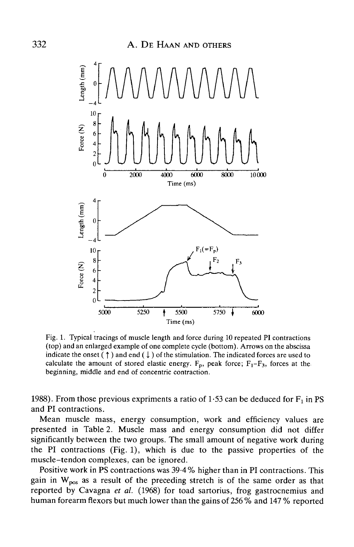

Fig. 1. Typical tracings of muscle length and force during 10 repeated PI contractions (top) and an enlarged example of one complete cycle (bottom). Arrows on the abscissa indicate the onset ( $\uparrow$ ) and end ( $\downarrow$ ) of the stimulation. The indicated forces are used to calculate the amount of stored elastic energy.  $F_p$ , peak force;  $F_1-F_3$ , forces at the beginning, middle and end of concentric contraction.

1988). From those previous expriments a ratio of 1.53 can be deduced for  $F_1$  in PS and PI contractions.

Mean muscle mass, energy consumption, work and efficiency values are presented in Table 2. Muscle mass and energy consumption did not differ significantly between the two groups. The small amount of negative work during the PI contractions (Fig. 1), which is due to the passive properties of the muscle-tendon complexes, can be ignored.

Positive work in PS contractions was 39-4 % higher than in PI contractions. This gain in  $W_{pos}$  as a result of the preceding stretch is of the same order as that reported by Cavagna *et al.* (1968) for toad sartorius, frog gastrocnemius and human forearm flexors but much lower than the gains of 256 % and 147 % reported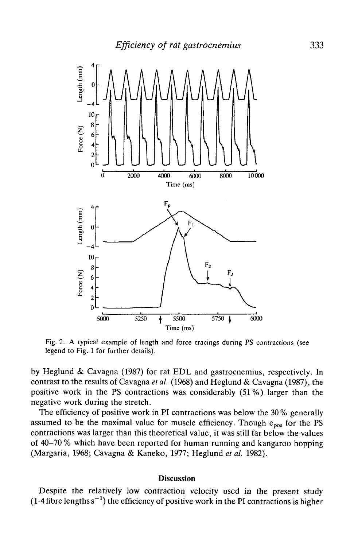

Fig. 2. A typical example of length and force tracings during PS contractions (see legend to Fig. 1 for further details).

by Heglund & Cavagna (1987) for rat EDL and gastrocnemius, respectively. In contrast to the results of Cavagna *et al.* (1968) and Heglund & Cavagna (1987), the positive work in the PS contractions was considerably (51%) larger than the negative work during the stretch.

The efficiency of positive work in PI contractions was below the 30 % generally assumed to be the maximal value for muscle efficiency. Though  $e_{\text{pos}}$  for the PS contractions was larger than this theoretical value, it was still far below the values of 40-70 % which have been reported for human running and kangaroo hopping (Margaria, 1968; Cavagna & Kaneko, 1977; Heglund *et al.* 1982).

#### **Discussion**

Despite the relatively low contraction velocity used in the present study  $(1.4$  fibre lengths s<sup>-1</sup>) the efficiency of positive work in the PI contractions is higher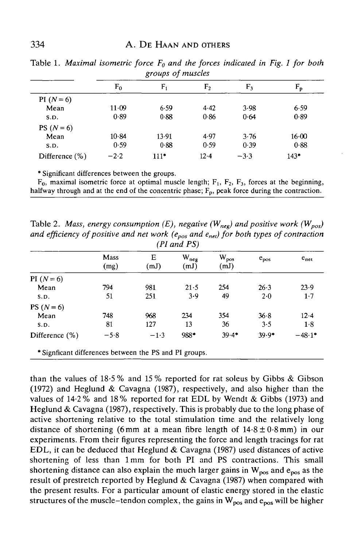|                |        | $\sigma$ - - - $\tau$ - - - $\tau$<br>. |                |        |        |
|----------------|--------|-----------------------------------------|----------------|--------|--------|
|                | $F_0$  | $F_1$                                   | F <sub>2</sub> | $F_3$  | $F_p$  |
| PI $(N = 6)$   |        |                                         |                |        |        |
| Mean           | 11.09  | 6.59                                    | 4.42           | 3.98   | 6.59   |
| S.D.           | 0.89   | 0.88                                    | 0.86           | 0.64   | 0.89   |
| PS $(N = 6)$   |        |                                         |                |        |        |
| Mean           | 10.84  | 13.91                                   | 4.97           | 3.76   | 16.00  |
| S.D.           | 0.59   | 0.88                                    | 0.59           | 0.39   | 0.88   |
| Difference (%) | $-2.2$ | $111*$                                  | $12 - 4$       | $-3.3$ | $143*$ |

Table 1. *Maximal isometric force Fo and the forces indicated in Fig. 1 for both groups of muscles*

\* Significant differences between the groups.

 $F_0$ , maximal isometric force at optimal muscle length;  $F_1$ ,  $F_2$ ,  $F_3$ , forces at the beginning, halfway through and at the end of the concentric phase;  $F_p$ , peak force during the contraction.

Table 2. *Mass, energy consumption (E), negative (W<sub>neg</sub>) and positive work (W<sub>pos</sub>) and efficiency of positive and net work (epos and enel) for both types of contraction (PI and PS)*

|                                                         | Mass<br>(mg) | Е<br>(mJ) | $W_{\text{neg}}$<br>(mJ) | $W_{pos}$<br>(mJ) | $e_{pos}$ | $e_{net}$ |
|---------------------------------------------------------|--------------|-----------|--------------------------|-------------------|-----------|-----------|
| PI $(N = 6)$                                            |              |           |                          |                   |           |           |
| Mean                                                    | 794          | 981       | 21.5                     | 254               | 26.3      | 23.9      |
| S.D.                                                    | 51           | 251       | 3.9                      | 49                | $2-0$     | 1.7       |
| PS $(N = 6)$                                            |              |           |                          |                   |           |           |
| Mean                                                    | 748          | 968       | 234                      | 354               | 36.8      | 12.4      |
| S.D.                                                    | 81           | 127       | 13                       | 36                | 3.5       | 1.8       |
| Difference $(\%)$                                       | $-5.8$       | $-1.3$    | 988*                     | $39.4*$           | $39.9*$   | $-48.1*$  |
| * Significant differences between the PS and PI groups. |              |           |                          |                   |           |           |

than the values of 18-5 % and 15 % reported for rat soleus by Gibbs & Gibson (1972) and Heglund & Cavagna (1987), respectively, and also higher than the values of 14-2% and 18% reported for rat EDL by Wendt & Gibbs (1973) and Heglund & Cavagna (1987), respectively. This is probably due to the long phase of active shortening relative to the total stimulation time and the relatively long distance of shortening (6 mm at a mean fibre length of  $14.8 \pm 0.8$  mm) in our experiments. From their figures representing the force and length tracings for rat EDL, it can be deduced that Heglund & Cavagna (1987) used distances of active shortening of less than lmm for both PI and PS contractions. This small shortening distance can also explain the much larger gains in  $W_{\text{pos}}$  and  $e_{\text{pos}}$  as the result of prestretch reported by Heglund & Cavagna (1987) when compared with the present results. For a particular amount of elastic energy stored in the elastic structures of the muscle-tendon complex, the gains in  $W_{pos}$  and  $e_{pos}$  will be higher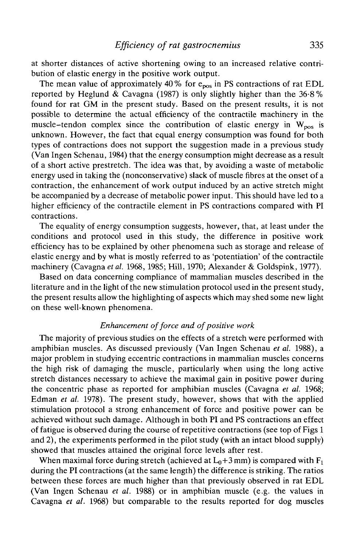at shorter distances of active shortening owing to an increased relative contribution of elastic energy in the positive work output.

The mean value of approximately 40% for  $e_{pos}$  in PS contractions of rat EDL reported by Heglund & Cavagna (1987) is only slightly higher than the  $36.8\%$ found for rat GM in the present study. Based on the present results, it is not possible to determine the actual efficiency of the contractile machinery in the muscle-tendon complex since the contribution of elastic energy in  $W_{pos}$  is unknown. However, the fact that equal energy consumption was found for both types of contractions does not support the suggestion made in a previous study (Van Ingen Schenau, 1984) that the energy consumption might decrease as a result of a short active prestretch. The idea was that, by avoiding a waste of metabolic energy used in taking the (nonconservative) slack of muscle fibres at the onset of a contraction, the enhancement of work output induced by an active stretch might be accompanied by a decrease of metabolic power input. This should have led to a higher efficiency of the contractile element in PS contractions compared with PI contractions.

The equality of energy consumption suggests, however, that, at least under the conditions and protocol used in this study, the difference in positive work efficiency has to be explained by other phenomena such as storage and release of elastic energy and by what is mostly referred to as 'potentiation' of the contractile machinery (Cavagna *etal.* 1968, 1985; Hill, 1970; Alexander & Goldspink, 1977).

Based on data concerning compliance of mammalian muscles described in the literature and in the light of the new stimulation protocol used in the present study, the present results allow the highlighting of aspects which may shed some new light on these well-known phenomena.

## *Enhancement of force and of positive work*

The majority of previous studies on the effects of a stretch were performed with amphibian muscles. As discussed previously (Van Ingen Schenau *et al.* 1988), a major problem in studying eccentric contractions in mammalian muscles concerns the high risk of damaging the muscle, particularly when using the long active stretch distances necessary to achieve the maximal gain in positive power during the concentric phase as reported for amphibian muscles (Cavagna *et al.* 1968; Edman *et al.* 1978). The present study, however, shows that with the applied stimulation protocol a strong enhancement of force and positive power can be achieved without such damage. Although in both PI and PS contractions an effect of fatigue is observed during the course of repetitive contractions (see top of Figs 1 and 2), the experiments performed in the pilot study (with an intact blood supply) showed that muscles attained the original force levels after rest.

When maximal force during stretch (achieved at  $L_0+3$  mm) is compared with  $F_1$ during the PI contractions (at the same length) the difference is striking. The ratios between these forces are much higher than that previously observed in rat EDL (Van Ingen Schenau *et al.* 1988) or in amphibian muscle (e.g. the values in Cavagna *et al.* 1968) but comparable to the results reported for dog muscles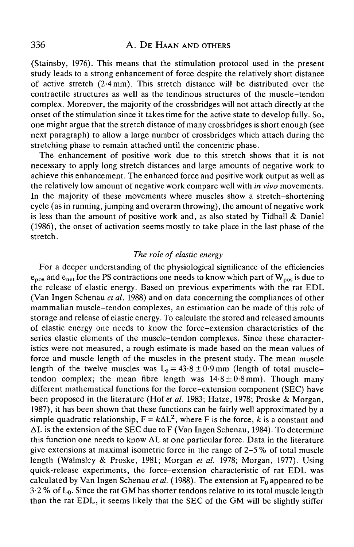# 336 A. DE HAAN AND OTHERS

(Stainsby, 1976). This means that the stimulation protocol used in the present study leads to a strong enhancement of force despite the relatively short distance of active stretch (2-4mm). This stretch distance will be distributed over the contractile structures as well as the tendinous structures of the muscle-tendon complex. Moreover, the majority of the crossbridges will not attach directly at the onset of the stimulation since it takes time for the active state to develop fully. So, one might argue that the stretch distance of many crossbridges is short enough (see next paragraph) to allow a large number of crossbridges which attach during the stretching phase to remain attached until the concentric phase.

The enhancement of positive work due to this stretch shows that it is not necessary to apply long stretch distances and large amounts of negative work to achieve this enhancement. The enhanced force and positive work output as well as the relatively low amount of negative work compare well with *in vivo* movements. In the majority of these movements where muscles show a stretch-shortening cycle (as in running, jumping and overarm throwing), the amount of negative work is less than the amount of positive work and, as also stated by Tidball & Daniel (1986), the onset of activation seems mostly to take place in the last phase of the stretch.

## *The role of elastic energy*

For a deeper understanding of the physiological significance of the efficiencies  $e_{pos}$  and  $e_{net}$  for the PS contractions one needs to know which part of  $W_{pos}$  is due to the release of elastic energy. Based on previous experiments with the rat EDL (Van Ingen Schenau *et al.* 1988) and on data concerning the compliances of other mammalian muscle-tendon complexes, an estimation can be made of this role of storage and release of elastic energy. To calculate the stored and released amounts of elastic energy one needs to know the force-extension characteristics of the series elastic elements of the muscle-tendon complexes. Since these characteristics were not measured, a rough estimate is made based on the mean values of force and muscle length of the muscles in the present study. The mean muscle length of the twelve muscles was  $L_0 = 43.8 \pm 0.9$  mm (length of total muscletendon complex; the mean fibre length was  $14.8 \pm 0.8$  mm). Though many different mathematical functions for the force-extension component (SEC) have been proposed in the literature (Hof *et al.* 1983; Hatze, 1978; Proske & Morgan, 1987), it has been shown that these functions can be fairly well approximated by a simple quadratic relationship,  $F = k\Delta L^2$ , where F is the force, k is a constant and  $\Delta L$  is the extension of the SEC due to F (Van Ingen Schenau, 1984). To determine this function one needs to know  $\Delta L$  at one particular force. Data in the literature give extensions at maximal isometric force in the range of 2-5 % of total muscle length (Walmsley & Proske, 1981; Morgan *et al.* 1978; Morgan, 1977). Using quick-release experiments, the force-extension characteristic of rat EDL was calculated by Van Ingen Schenau *et al.* (1988). The extension at  $F_0$  appeared to be  $3.2\%$  of  $L_0$ . Since the rat GM has shorter tendons relative to its total muscle length than the rat EDL, it seems likely that the SEC of the GM will be slightly stiffer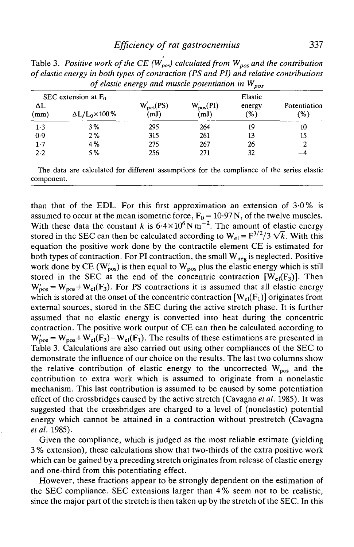|            | SEC extension at $F_0$      |                        |                        | Elastic       |                     |  |
|------------|-----------------------------|------------------------|------------------------|---------------|---------------------|--|
| ΔL<br>(mm) | $\Delta L/L_0 \times 100\%$ | $W'_{pos}(PS)$<br>(mJ) | $W'_{pos}(PI)$<br>(mJ) | energy<br>(%) | Potentiation<br>(%) |  |
| 1.3        | 3%                          | 295                    | 264                    | 19            | 10                  |  |
| 0.9        | 2%                          | 315                    | 261                    | 13            | 15                  |  |
| 1.7        | 4%                          | 275                    | 267                    | 26            | 2                   |  |
| 2.2        | 5%                          | 256                    | 271                    | 32            | -4                  |  |

Table 3. Positive work of the CE  $(W_{p\circ x}^{'} )$  calculated from  $W_{p\circ s}$  and the contribution *of elastic energy in both types of contraction (PS and PI) and relative contributions of elastic energy and muscle potentiation in Wpos*

The data are calculated for different assumptions for the compliance of the series elastic component.

than that of the EDL. For this first approximation an extension of 3-0% is assumed to occur at the mean isometric force,  $F_0 = 10.97$  N, of the twelve muscles. With these data the constant k is  $6.4 \times 10^6$  N m<sup>-2</sup>. The amount of elastic energy stored in the SEC can then be calculated according to  $W_{el} = F^{3/2}/3 \sqrt{k}$ . With this equation the positive work done by the contractile element CE is estimated for both types of contraction. For PI contraction, the small  $W_{neg}$  is neglected. Positive work done by CE ( $W'_{\text{pos}}$ ) is then equal to  $W_{\text{pos}}$  plus the elastic energy which is still stored in the SEC at the end of the concentric contraction  $[W_{el}(F_3)]$ . Then  $W'_{pos} = W_{pos} + W_{el}(F_3)$ . For PS contractions it is assumed that all elastic energy which is stored at the onset of the concentric contraction  $[W_{el}(F_1)]$  originates from external sources, stored in the SEC during the active stretch phase. It is further assumed that no elastic energy is converted into heat during the concentric contraction. The positive work output of CE can then be calculated according to  $W'_{\text{pos}} = W_{\text{pos}} + W_{\text{el}}(F_3) - W_{\text{el}}(F_1)$ . The results of these estimations are presented in Table 3. Calculations are also carried out using other compliances of the SEC to demonstrate the influence of our choice on the results. The last two columns show the relative contribution of elastic energy to the uncorrected  $W_{pos}$  and the contribution to extra work which is assumed to originate from a nonelastic mechanism. This last contribution is assumed to be caused by some potentiation effect of the crossbridges caused by the active stretch (Cavagna *et al.* 1985). It was suggested that the crossbridges are charged to a level of (nonelastic) potential energy which cannot be attained in a contraction without prestretch (Cavagna *etal.* 1985).

Given the compliance, which is judged as the most reliable estimate (yielding 3 % extension), these calculations show that two-thirds of the extra positive work which can be gained by a preceding stretch originates from release of elastic energy and one-third from this potentiating effect.

However, these fractions appear to be strongly dependent on the estimation of the SEC compliance. SEC extensions larger than 4% seem not to be realistic, since the major part of the stretch is then taken up by the stretch of the SEC. In this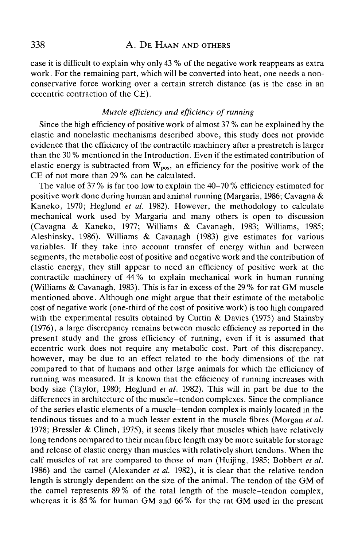case it is difficult to explain why only 43 % of the negative work reappears as extra work. For the remaining part, which will be converted into heat, one needs a nonconservative force working over a certain stretch distance (as is the case in an eccentric contraction of the CE).

# *Muscle efficiency and efficiency of running*

Since the high efficiency of positive work of almost 37 % can be explained by the elastic and nonelastic mechanisms described above, this study does not provide evidence that the efficiency of the contractile machinery after a prestretch is larger than the 30 % mentioned in the Introduction. Even if the estimated contribution of elastic energy is subtracted from  $W_{pos}$ , an efficiency for the positive work of the CE of not more than 29 % can be calculated.

The value of 37 % is far too low to explain the 40-70 % efficiency estimated for positive work done during human and animal running (Margaria, 1986; Cavagna & Kaneko, 1970; Heglund *et al.* 1982). However, the methodology to calculate mechanical work used by Margaria and many others is open to discussion (Cavagna & Kaneko, 1977; Williams & Cavanagh, 1983; Williams, 1985; Aleshinsky, 1986). Williams & Cavanagh (1983) give estimates for various variables. If they take into account transfer of energy within and between segments, the metabolic cost of positive and negative work and the contribution of elastic energy, they still appear to need an efficiency of positive work at the contractile machinery of 44 % to explain mechanical work in human running (Williams & Cavanagh, 1983). This is far in excess of the 29 % for rat GM muscle mentioned above. Although one might argue that their estimate of the metabolic cost of negative work (one-third of the cost of positive work) is too high compared with the experimental results obtained by Curtin & Davies (1975) and Stainsby (1976), a large discrepancy remains between muscle efficiency as reported in the present study and the gross efficiency of running, even if it is assumed that eccentric work does not require any metabolic cost. Part of this discrepancy, however, may be due to an effect related to the body dimensions of the rat compared to that of humans and other large animals for which the efficiency of running was measured. It is known that the efficiency of running increases with body size (Taylor, 1980; Heglund *et al.* 1982). This will in part be due to the differences in architecture of the muscle-tendon complexes. Since the compliance of the series elastic elements of a muscle-tendon complex is mainly located in the tendinous tissues and to a much lesser extent in the muscle fibres (Morgan *et al.* 1978; Bressler & Clinch, 1975), it seems likely that muscles which have relatively long tendons compared to their mean fibre length may be more suitable for storage and release of elastic energy than muscles with relatively short tendons. When the calf muscles of rat are compared to those of man (Huijing, 1985; Bobbert *et al.* 1986) and the camel (Alexander *et al.* 1982), it is clear that the relative tendon length is strongly dependent on the size of the animal. The tendon of the GM of the camel represents 89 % of the total length of the muscle-tendon complex, whereas it is 85 % for human GM and 66 % for the rat GM used in the present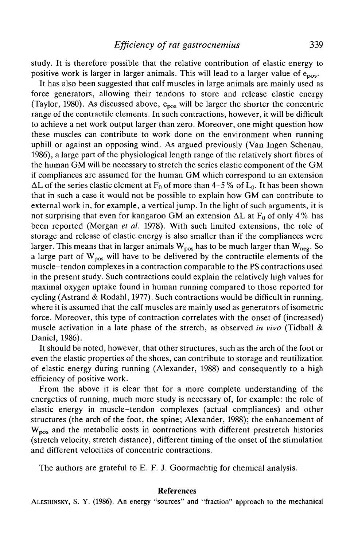study. It is therefore possible that the relative contribution of elastic energy to positive work is larger in larger animals. This will lead to a larger value of  $e_{\text{nos}}$ .

It has also been suggested that calf muscles in large animals are mainly used as force generators, allowing their tendons to store and release elastic energy (Taylor, 1980). As discussed above,  $e_{pos}$  will be larger the shorter the concentric range of the contractile elements. In such contractions, however, it will be difficult to achieve a net work output larger than zero. Moreover, one might question how these muscles can contribute to work done on the environment when running uphill or against an opposing wind. As argued previously (Van Ingen Schenau, 1986), a large part of the physiological length range of the relatively short fibres of the human GM will be necessary to stretch the series elastic component of the GM if compliances are assumed for the human GM which correspond to an extension  $\Delta L$  of the series elastic element at  $F_0$  of more than 4-5 % of  $L_0$ . It has been shown that in such a case it would not be possible to explain how GM can contribute to external work in, for example, a vertical jump. In the light of such arguments, it is not surprising that even for kangaroo GM an extension  $\Delta L$  at F<sub>0</sub> of only 4% has been reported (Morgan *et al.* 1978). With such limited extensions, the role of storage and release of elastic energy is also smaller than if the compliances were larger. This means that in larger animals  $W_{pos}$  has to be much larger than  $W_{neg}$ . So a large part of  $W_{\text{pos}}$  will have to be delivered by the contractile elements of the muscle-tendon complexes in a contraction comparable to the PS contractions used in the present study. Such contractions could explain the relatively high values for maximal oxygen uptake found in human running compared to those reported for cycling (Astrand & Rodahl, 1977). Such contractions would be difficult in running, where it is assumed that the calf muscles are mainly used as generators of isometric force. Moreover, this type of contraction correlates with the onset of (increased) muscle activation in a late phase of the stretch, as observed *in vivo* (Tidball & Daniel, 1986).

It should be noted, however, that other structures, such as the arch of the foot or even the elastic properties of the shoes, can contribute to storage and reutilization of elastic energy during running (Alexander, 1988) and consequently to a high efficiency of positive work.

From the above it is clear that for a more complete understanding of the energetics of running, much more study is necessary of, for example: the role of elastic energy in muscle-tendon complexes (actual compliances) and other structures (the arch of the foot, the spine; Alexander, 1988); the enhancement of  $W_{\text{pos}}$  and the metabolic costs in contractions with different prestretch histories (stretch velocity, stretch distance), different timing of the onset of the stimulation and different velocities of concentric contractions.

The authors are grateful to E. F. J. Goormachtig for chemical analysis.

#### **References**

ALESHINSKY, S. Y. (1986). An energy "sources" and "fraction" approach to the mechanical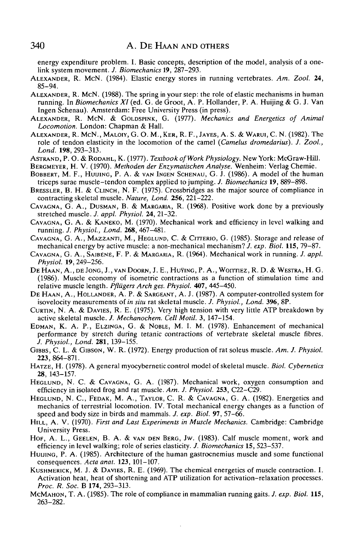energy expenditure problem. I. Basic concepts, description of the model, analysis of a onelink system movement. /. *Biomechanics* 19, 287-293.

- ALEXANDER, R. MCN. (1984). Elastic energy stores in running vertebrates. *Am. Zool.* **24,** 85-94.
- ALEXANDER, R. MCN. (1988). The spring in your step: the role of elastic mechanisms in human running. In *Biomechanics XI* (ed. G. de Groot, A. P. Hollander, P. A. Huijing & G. J. Van Ingen Schenau). Amsterdam: Free University Press (in press).
- ALEXANDER, R. MCN. & GOLDSPINK, G. (1977). *Mechanics and Energetics of Animal Locomotion.* London: Chapman & Hall.
- ALEXANDER, R. McN., MALOIY, G. O. M., KER, R. F., JAYES, A. S. & WARUI, C. N. (1982). The role of tendon elasticity in the locomotion of the camel *(Camelus dromedarius). J. Zool., Land.* **198,** 293-313.
- ASTRAND, P. O. & RODAHL, K. (1977). *Textbook of Work Physiology.* New York: McGraw-Hill.
- BERGMEYER, H. V. (1970). *Methoden der Enzymatischen Analyse.* Wenheim: Verlag Chemie.
- BOBBERT, M. F., HUUING, P. A. & VAN INGEN SCHENAU, G. J. (1986). A model of the human triceps surae muscle-tendon complex applied to jumping. *J. Biomechanics* **19,** 889-898.
- BRESSLER, B. H. & CLINCH, N. F. (1975). Crossbridges as the major source of compliance in contracting skeletal muscle. *Nature, Lond.* **256,** 221-222.
- CAVAGNA, G. A., DUSMAN, B. & MARGARIA, R. (1968). Positive work done by a previously stretched muscle. *J. appl. Physiol.* **24,** 21-32.
- CAVAGNA, G. A. & KANEKO, M. (1970). Mechanical work and efficiency in level walking and running. *J. Physiol., Lond.* **268,** 467-481.
- CAVAGNA, G. A., MAZZANTI, M., HEGLUND, C. & CITTERIO, G. (1985). Storage and release of mechanical energy by active muscle: a non-mechanical mechanism? *J. exp. Biol.* **115,** 79-87.
- CAVAGNA, G. A., SAIBENE, F. P. & MARGARIA, R. (1964). Mechanical work in running. *J. appl. Physiol.* **19,** 249-256.
- DE HAAN, A., DE JONG, J., VAN DOORN, J. E., HUVING, P. A., WOITTLEZ, R. D. & WESTRA, H. G. (1986). Muscle economy of isometric contractions as a function of stimulation time and relative muscle length. *Pfliigers Arch ges. Physiol.* **407,** 445-450.
- DE HAAN, A., HOLLANDER, A. P. & SARGEANT, A. J. (1987). A computer-controlled system for isovelocity measurements of *in situ* rat skeletal muscle. *J. Physiol., Lond.* **396,** 8P.
- CURTIN, N. A. & DAVIES, R. E. (1975). Very high tension with very little ATP breakdown by active skeletal muscle. *J. Mechanochem. Cell Motil.* 3, 147-154.
- EDMAN, K. A. P., ELZINGA, G. & NOBLE, M. I. M. (1978). Enhancement of mechanical performance by stretch during tetanic contractions of vertebrate skeletal muscle fibres. *J. Physiol., Lond.* **281,** 139-155.
- GIBBS, C. L. & GIBSON, W. R. (1972). Energy production of rat soleus muscle. *Am. J. Physiol.* **223,** 864-871.
- HATZE, H. (1978). A general myocybernetic control model of skeletal muscle. *Biol. Cybernetics* **28,** 143-157.
- HEGLUND, N. C. & CAVAGNA, G. A. (1987). Mechanical work, oxygen consumption and efficiency in isolated frog and rat muscle. *Am. J. Physiol.* **253,** C22-C29.
- HEGLUND, N. C, FEDAK, M. A., TAYLOR, C. R. & CAVAGNA, G. A. (1982). Energetics and mechanics of terrestrial locomotion. IV. Total mechanical energy changes as a function of speed and body size in birds and mammals. *J. exp. Biol.* **97,** 57-66.
- HILL, A. V. (1970). *First and Last Experiments in Muscle Mechanics.* Cambridge: Cambridge University Press.
- HOF, A. L., GEELEN, B. A. & VAN DEN BERG, JW. (1983). Calf muscle moment, work and efficiency in level walking; role of series elasticity. *J. Biomechanics* **15,** 523-537.
- HUIJING, P. A. (1985). Architecture of the human gastrocnemius muscle and some functional consequences. *Ada anal.* **123,** 101-107.
- KUSHMERICK, M. J. & DAVIES, R. E. (1969). The chemical energetics of muscle contraction. I. Activation heat, heat of shortening and ATP utilization for activation-relaxation processes. *Proc. R. Soc.* B **174,** 293-313.
- MCMAHON, T. A. (1985). The role of compliance in mammalian running gaits. /. *exp. Biol.* **115,** 263-282.